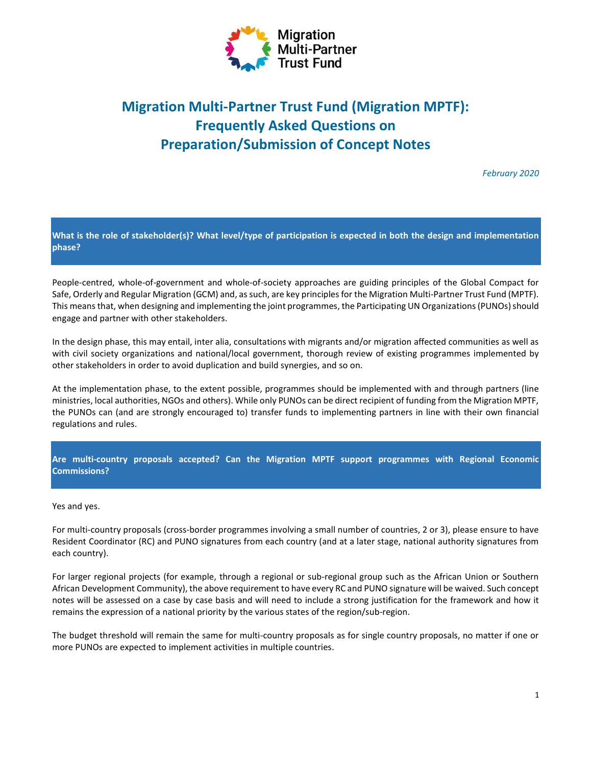

# Migration Multi-Partner Trust Fund (Migration MPTF): Frequently Asked Questions on Preparation/Submission of Concept Notes

February 2020

What is the role of stakeholder(s)? What level/type of participation is expected in both the design and implementation phase?

People-centred, whole-of-government and whole-of-society approaches are guiding principles of the Global Compact for Safe, Orderly and Regular Migration (GCM) and, as such, are key principles for the Migration Multi-Partner Trust Fund (MPTF). This means that, when designing and implementing the joint programmes, the Participating UN Organizations (PUNOs) should engage and partner with other stakeholders.

In the design phase, this may entail, inter alia, consultations with migrants and/or migration affected communities as well as with civil society organizations and national/local government, thorough review of existing programmes implemented by other stakeholders in order to avoid duplication and build synergies, and so on.

At the implementation phase, to the extent possible, programmes should be implemented with and through partners (line ministries, local authorities, NGOs and others). While only PUNOs can be direct recipient of funding from the Migration MPTF, the PUNOs can (and are strongly encouraged to) transfer funds to implementing partners in line with their own financial regulations and rules.

## Are multi-country proposals accepted? Can the Migration MPTF support programmes with Regional Economic Commissions?

Yes and yes.

For multi-country proposals (cross-border programmes involving a small number of countries, 2 or 3), please ensure to have Resident Coordinator (RC) and PUNO signatures from each country (and at a later stage, national authority signatures from each country).

For larger regional projects (for example, through a regional or sub-regional group such as the African Union or Southern African Development Community), the above requirement to have every RC and PUNO signature will be waived. Such concept notes will be assessed on a case by case basis and will need to include a strong justification for the framework and how it remains the expression of a national priority by the various states of the region/sub-region.

The budget threshold will remain the same for multi-country proposals as for single country proposals, no matter if one or more PUNOs are expected to implement activities in multiple countries.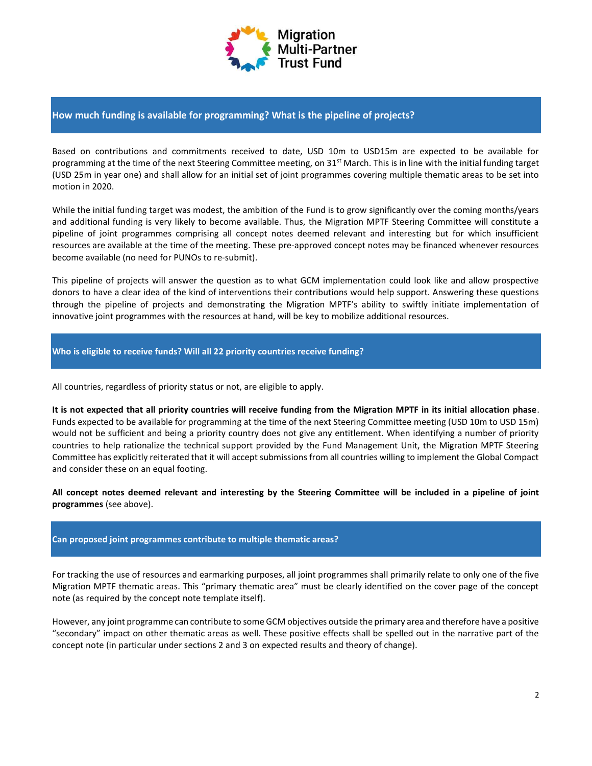

## How much funding is available for programming? What is the pipeline of projects?

Based on contributions and commitments received to date, USD 10m to USD15m are expected to be available for programming at the time of the next Steering Committee meeting, on  $31^{st}$  March. This is in line with the initial funding target (USD 25m in year one) and shall allow for an initial set of joint programmes covering multiple thematic areas to be set into motion in 2020.

While the initial funding target was modest, the ambition of the Fund is to grow significantly over the coming months/years and additional funding is very likely to become available. Thus, the Migration MPTF Steering Committee will constitute a pipeline of joint programmes comprising all concept notes deemed relevant and interesting but for which insufficient resources are available at the time of the meeting. These pre-approved concept notes may be financed whenever resources become available (no need for PUNOs to re-submit).

This pipeline of projects will answer the question as to what GCM implementation could look like and allow prospective donors to have a clear idea of the kind of interventions their contributions would help support. Answering these questions through the pipeline of projects and demonstrating the Migration MPTF's ability to swiftly initiate implementation of innovative joint programmes with the resources at hand, will be key to mobilize additional resources.

## Who is eligible to receive funds? Will all 22 priority countries receive funding?

All countries, regardless of priority status or not, are eligible to apply.

It is not expected that all priority countries will receive funding from the Migration MPTF in its initial allocation phase. Funds expected to be available for programming at the time of the next Steering Committee meeting (USD 10m to USD 15m) would not be sufficient and being a priority country does not give any entitlement. When identifying a number of priority countries to help rationalize the technical support provided by the Fund Management Unit, the Migration MPTF Steering Committee has explicitly reiterated that it will accept submissions from all countries willing to implement the Global Compact and consider these on an equal footing.

All concept notes deemed relevant and interesting by the Steering Committee will be included in a pipeline of joint programmes (see above).

## Can proposed joint programmes contribute to multiple thematic areas?

For tracking the use of resources and earmarking purposes, all joint programmes shall primarily relate to only one of the five Migration MPTF thematic areas. This "primary thematic area" must be clearly identified on the cover page of the concept note (as required by the concept note template itself).

However, any joint programme can contribute to some GCM objectives outside the primary area and therefore have a positive "secondary" impact on other thematic areas as well. These positive effects shall be spelled out in the narrative part of the concept note (in particular under sections 2 and 3 on expected results and theory of change).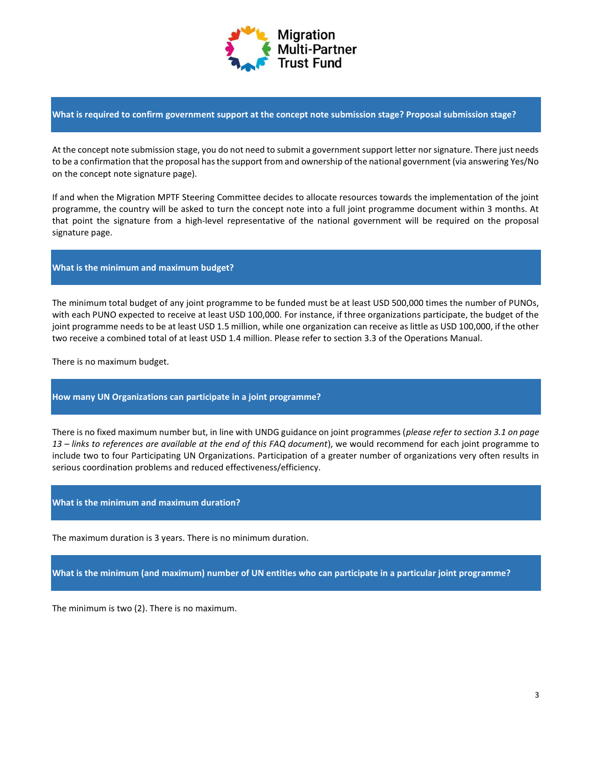

What is required to confirm government support at the concept note submission stage? Proposal submission stage?

At the concept note submission stage, you do not need to submit a government support letter nor signature. There just needs to be a confirmation that the proposal has the support from and ownership of the national government (via answering Yes/No on the concept note signature page).

If and when the Migration MPTF Steering Committee decides to allocate resources towards the implementation of the joint programme, the country will be asked to turn the concept note into a full joint programme document within 3 months. At that point the signature from a high-level representative of the national government will be required on the proposal signature page.

### What is the minimum and maximum budget?

The minimum total budget of any joint programme to be funded must be at least USD 500,000 times the number of PUNOs, with each PUNO expected to receive at least USD 100,000. For instance, if three organizations participate, the budget of the joint programme needs to be at least USD 1.5 million, while one organization can receive as little as USD 100,000, if the other two receive a combined total of at least USD 1.4 million. Please refer to section 3.3 of the Operations Manual.

There is no maximum budget.

#### How many UN Organizations can participate in a joint programme?

There is no fixed maximum number but, in line with UNDG guidance on joint programmes (please refer to section 3.1 on page 13 – links to references are available at the end of this FAQ document), we would recommend for each joint programme to include two to four Participating UN Organizations. Participation of a greater number of organizations very often results in serious coordination problems and reduced effectiveness/efficiency.

#### What is the minimum and maximum duration?

The maximum duration is 3 years. There is no minimum duration.

What is the minimum (and maximum) number of UN entities who can participate in a particular joint programme?

The minimum is two (2). There is no maximum.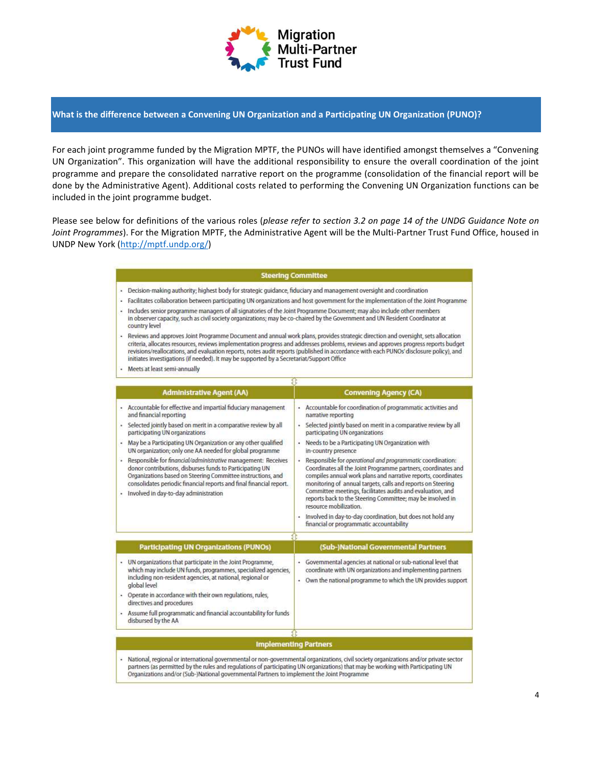

#### What is the difference between a Convening UN Organization and a Participating UN Organization (PUNO)?

For each joint programme funded by the Migration MPTF, the PUNOs will have identified amongst themselves a "Convening UN Organization". This organization will have the additional responsibility to ensure the overall coordination of the joint programme and prepare the consolidated narrative report on the programme (consolidation of the financial report will be done by the Administrative Agent). Additional costs related to performing the Convening UN Organization functions can be included in the joint programme budget.

Please see below for definitions of the various roles (please refer to section 3.2 on page 14 of the UNDG Guidance Note on Joint Programmes). For the Migration MPTF, the Administrative Agent will be the Multi-Partner Trust Fund Office, housed in UNDP New York (http://mptf.undp.org/)

#### **Steering Committee**

- Decision-making authority; highest body for strategic guidance, fiduciary and management oversight and coordination
- · Facilitates collaboration between participating UN organizations and host government for the implementation of the Joint Programme - Includes senior programme managers of all signatories of the Joint Programme Document; may also include other members
- in observer capacity, such as civil society organizations; may be co-chaired by the Government and UN Resident Coordinator at country level
- Reviews and approves Joint Programme Document and annual work plans, provides strategic direction and oversight, sets allocation criteria, allocates resources, reviews implementation progress and addresses problems, reviews and approves progress reports budget revisions/reallocations, and evaluation reports, notes audit reports (published in accordance with each PUNOs' disclosure policy), and initiates investigations (if needed). It may be supported by a Secretariat/Support Office
- · Meets at least semi-annually

|                      | <b>Administrative Agent (AA)</b>                                                                                                                                                                                                                                                                         |   | <b>Convening Agency (CA)</b>                                                                                                                                                                                                                                                                                                                                                                                      |
|----------------------|----------------------------------------------------------------------------------------------------------------------------------------------------------------------------------------------------------------------------------------------------------------------------------------------------------|---|-------------------------------------------------------------------------------------------------------------------------------------------------------------------------------------------------------------------------------------------------------------------------------------------------------------------------------------------------------------------------------------------------------------------|
|                      | Accountable for effective and impartial fiduciary management<br>and financial reporting                                                                                                                                                                                                                  |   | - Accountable for coordination of programmatic activities and<br>narrative reporting                                                                                                                                                                                                                                                                                                                              |
| ٠                    | Selected jointly based on merit in a comparative review by all<br>participating UN organizations                                                                                                                                                                                                         | ٠ | Selected jointly based on merit in a comparative review by all<br>participating UN organizations                                                                                                                                                                                                                                                                                                                  |
|                      | May be a Participating UN Organization or any other qualified<br>UN organization; only one AA needed for global programme                                                                                                                                                                                |   | • Needs to be a Participating UN Organization with<br>in-country presence                                                                                                                                                                                                                                                                                                                                         |
| $\ddot{\phantom{1}}$ | Responsible for financial/administrative management: Receives<br>donor contributions, disburses funds to Participating UN<br>Organizations based on Steering Committee instructions, and<br>consolidates periodic financial reports and final financial report.<br>Involved in day-to-day administration | ٠ | Responsible for operational and programmatic coordination:<br>Coordinates all the Joint Programme partners, coordinates and<br>compiles annual work plans and narrative reports, coordinates<br>monitoring of annual targets, calls and reports on Steering<br>Committee meetings, facilitates audits and evaluation, and<br>reports back to the Steering Committee; may be involved in<br>resource mobilization. |
|                      |                                                                                                                                                                                                                                                                                                          |   | Involved in day-to-day coordination, but does not hold any<br>financial or programmatic accountability                                                                                                                                                                                                                                                                                                            |
|                      | <b>Participating UN Organizations (PUNOs)</b>                                                                                                                                                                                                                                                            |   | (Sub-)National Governmental Partners                                                                                                                                                                                                                                                                                                                                                                              |
| ٠                    | UN organizations that participate in the Joint Programme,<br>which may include UN funds, programmes, specialized agencies,<br>including non-resident agencies, at national, regional or<br>global level                                                                                                  | ٠ | Governmental agencies at national or sub-national level that<br>coordinate with UN organizations and implementing partners<br>Own the national programme to which the UN provides support                                                                                                                                                                                                                         |
| ٠                    | Operate in accordance with their own regulations, rules,<br>directives and procedures                                                                                                                                                                                                                    |   |                                                                                                                                                                                                                                                                                                                                                                                                                   |
| ٠                    | Assume full programmatic and financial accountability for funds<br>disbursed by the AA                                                                                                                                                                                                                   |   |                                                                                                                                                                                                                                                                                                                                                                                                                   |
|                      |                                                                                                                                                                                                                                                                                                          |   |                                                                                                                                                                                                                                                                                                                                                                                                                   |
|                      | <b>Implementing Partners</b>                                                                                                                                                                                                                                                                             |   |                                                                                                                                                                                                                                                                                                                                                                                                                   |

partners (as permitted by the rules and regulations of participating UN organizations) that may be working with Participating UN Organizations and/or (Sub-)National governmental Partners to implement the Joint Programme